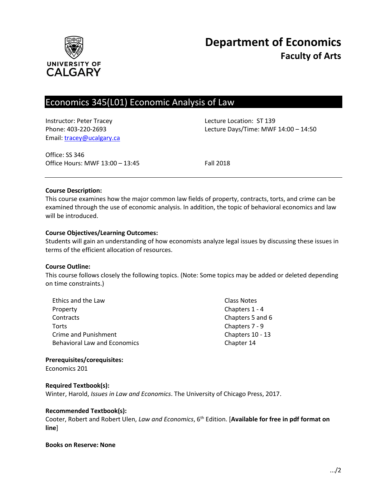

# Economics 345(L01) Economic Analysis of Law

Instructor: Peter Tracey Lecture Location: ST 139 Email: [tracey@ucalgary.ca](file:///C:/Users/tracey/Desktop/tracey@ucalgary.ca)

Phone: 403-220-2693 Lecture Days/Time: MWF 14:00 – 14:50

Office: SS 346 Office Hours: MWF 13:00 - 13:45 Fall 2018

#### **Course Description:**

This course examines how the major common law fields of property, contracts, torts, and crime can be examined through the use of economic analysis. In addition, the topic of behavioral economics and law will be introduced.

#### **Course Objectives/Learning Outcomes:**

Students will gain an understanding of how economists analyze legal issues by discussing these issues in terms of the efficient allocation of resources.

#### **Course Outline:**

This course follows closely the following topics. (Note: Some topics may be added or deleted depending on time constraints.)

| Ethics and the Law           | Class Notes      |
|------------------------------|------------------|
| Property                     | Chapters 1 - 4   |
| Contracts                    | Chapters 5 and 6 |
| Torts                        | Chapters 7 - 9   |
| Crime and Punishment         | Chapters 10 - 13 |
| Behavioral Law and Economics | Chapter 14       |

#### **Prerequisites/corequisites:**

Economics 201

#### **Required Textbook(s):**

Winter, Harold, *Issues in Law and Economics*. The University of Chicago Press, 2017.

#### **Recommended Textbook(s):**

Cooter, Robert and Robert Ulen, *Law and Economics*, 6<sup>th</sup> Edition. [Available for free in pdf format on **line**]

#### **Books on Reserve: None**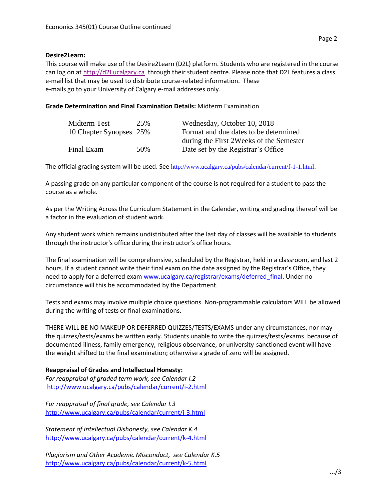# **Desire2Learn:**

This course will make use of the Desire2Learn (D2L) platform. Students who are registered in the course can log on a[t http://d2l.ucalgary.ca](http://d2l.ucalgary.ca/) through their student centre. Please note that D2L features a class e-mail list that may be used to distribute course-related information. These e-mails go to your University of Calgary e-mail addresses only.

# **Grade Determination and Final Examination Details:** Midterm Examination

| Midterm Test            | 25% | Wednesday, October 10, 2018              |
|-------------------------|-----|------------------------------------------|
| 10 Chapter Synopses 25% |     | Format and due dates to be determined    |
|                         |     | during the First 2 Weeks of the Semester |
| Final Exam              | 50% | Date set by the Registrar's Office       |

The official grading system will be used. See <http://www.ucalgary.ca/pubs/calendar/current/f-1-1.html>.

A passing grade on any particular component of the course is not required for a student to pass the course as a whole.

As per the Writing Across the Curriculum Statement in the Calendar, writing and grading thereof will be a factor in the evaluation of student work.

Any student work which remains undistributed after the last day of classes will be available to students through the instructor's office during the instructor's office hours.

The final examination will be comprehensive, scheduled by the Registrar, held in a classroom, and last 2 hours. If a student cannot write their final exam on the date assigned by the Registrar's Office, they need to apply for a deferred exam [www.ucalgary.ca/registrar/exams/deferred\\_final.](http://www.ucalgary.ca/registrar/exams/deferred_final) Under no circumstance will this be accommodated by the Department.

Tests and exams may involve multiple choice questions. Non-programmable calculators WILL be allowed during the writing of tests or final examinations.

THERE WILL BE NO MAKEUP OR DEFERRED QUIZZES/TESTS/EXAMS under any circumstances, nor may the quizzes/tests/exams be written early. Students unable to write the quizzes/tests/exams because of documented illness, family emergency, religious observance, or university-sanctioned event will have the weight shifted to the final examination; otherwise a grade of zero will be assigned.

## **Reappraisal of Grades and Intellectual Honesty:**

*For reappraisal of graded term work, see Calendar I.2* <http://www.ucalgary.ca/pubs/calendar/current/i-2.html>

*For reappraisal of final grade, see Calendar I.3* <http://www.ucalgary.ca/pubs/calendar/current/i-3.html>

*Statement of Intellectual Dishonesty, see Calendar K.4* <http://www.ucalgary.ca/pubs/calendar/current/k-4.html>

*Plagiarism and Other Academic Misconduct, see Calendar K.5* <http://www.ucalgary.ca/pubs/calendar/current/k-5.html>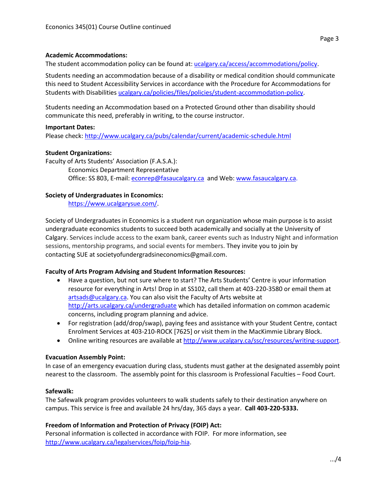## **Academic Accommodations:**

The student accommodation policy can be found at: [ucalgary.ca/access/accommodations/policy.](http://www.ucalgary.ca/access/accommodations/policy)

Students needing an accommodation because of a disability or medical condition should communicate this need to Student Accessibility Services in accordance with the Procedure for Accommodations for Students with Disabilities [ucalgary.ca/policies/files/policies/student-accommodation-policy.](http://www.ucalgary.ca/policies/files/policies/student-accommodation-policy.pdf)

Students needing an Accommodation based on a Protected Ground other than disability should communicate this need, preferably in writing, to the course instructor.

#### **Important Dates:**

Please check:<http://www.ucalgary.ca/pubs/calendar/current/academic-schedule.html>

## **Student Organizations:**

Faculty of Arts Students' Association (F.A.S.A.): Economics Department Representative Office: SS 803, E-mail: [econrep@fasaucalgary.ca](mailto:econrep@fasaucalgary.ca) and Web[: www.fasaucalgary.ca.](http://www.fasaucalgary.ca/)

#### **Society of Undergraduates in Economics:**

[https://www.ucalgarysue.com/.](https://www.ucalgarysue.com/)

Society of Undergraduates in Economics is a student run organization whose main purpose is to assist undergraduate economics students to succeed both academically and socially at the University of Calgary. Services include access to the exam bank, career events such as Industry Night and information sessions, mentorship programs, and social events for members. They invite you to join by contacting SUE at societyofundergradsineconomics@gmail.com.

## **Faculty of Arts Program Advising and Student Information Resources:**

- Have a question, but not sure where to start? The Arts Students' Centre is your information resource for everything in Arts! Drop in at SS102, call them at 403-220-3580 or email them at [artsads@ucalgary.ca.](mailto:artsads@ucalgary.ca) You can also visit the Faculty of Arts website at <http://arts.ucalgary.ca/undergraduate> which has detailed information on common academic concerns, including program planning and advice.
- For registration (add/drop/swap), paying fees and assistance with your Student Centre, contact Enrolment Services at 403-210-ROCK [7625] or visit them in the MacKimmie Library Block.
- Online writing resources are available at [http://www.ucalgary.ca/ssc/resources/writing-support.](http://www.ucalgary.ca/ssc/resources/writing-support)

## **Evacuation Assembly Point:**

In case of an emergency evacuation during class, students must gather at the designated assembly point nearest to the classroom. The assembly point for this classroom is Professional Faculties – Food Court.

#### **Safewalk:**

The Safewalk program provides volunteers to walk students safely to their destination anywhere on campus. This service is free and available 24 hrs/day, 365 days a year. **Call 403-220-5333.**

## **Freedom of Information and Protection of Privacy (FOIP) Act:**

Personal information is collected in accordance with FOIP. For more information, see [http://www.ucalgary.ca/legalservices/foip/foip-hia.](http://www.ucalgary.ca/legalservices/foip/foip-hia)